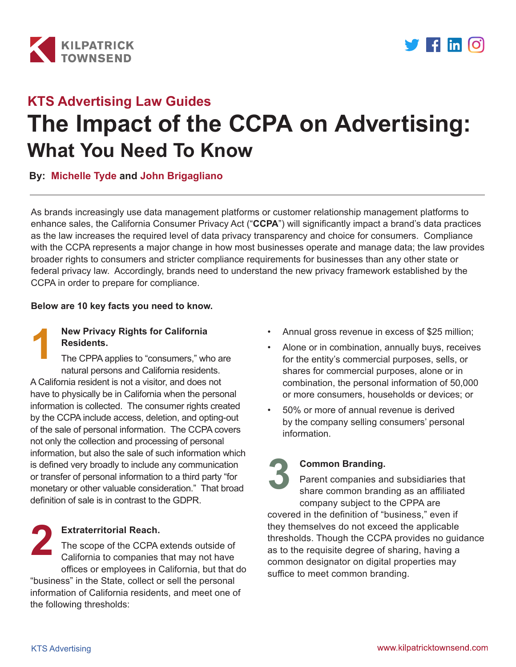



# **The Impact of the CCPA on Advertising: What You Need To Know KTS Advertising Law Guides**

**By: [Michelle Tyde](https://www.kilpatricktownsend.com/en/People/T/TydeMichelle.ashx) and [John Brigagliano](https://www.kilpatricktownsend.com/en/People/B/BrigaglianoJohnM.ashx)**

As brands increasingly use data management platforms or customer relationship management platforms to enhance sales, the California Consumer Privacy Act ("**CCPA**") will significantly impact a brand's data practices as the law increases the required level of data privacy transparency and choice for consumers. Compliance with the CCPA represents a major change in how most businesses operate and manage data; the law provides broader rights to consumers and stricter compliance requirements for businesses than any other state or federal privacy law. Accordingly, brands need to understand the new privacy framework established by the CCPA in order to prepare for compliance.

#### **Below are 10 key facts you need to know.**



#### **New Privacy Rights for California Residents.**

The CPPA applies to "consumers," who are natural persons and California residents. A California resident is not a visitor, and does not have to physically be in California when the personal information is collected. The consumer rights created by the CCPA include access, deletion, and opting-out of the sale of personal information. The CCPA covers not only the collection and processing of personal information, but also the sale of such information which is defined very broadly to include any communication or transfer of personal information to a third party "for monetary or other valuable consideration." That broad definition of sale is in contrast to the GDPR.

## **Extraterritorial Reach.**

The scope of the CCPA extends outside of California to companies that may not have offices or employees in California, but that do "business" in the State, collect or sell the personal information of California residents, and meet one of the following thresholds: **2**

- Annual gross revenue in excess of \$25 million;
- Alone or in combination, annually buys, receives for the entity's commercial purposes, sells, or shares for commercial purposes, alone or in combination, the personal information of 50,000 or more consumers, households or devices; or
- 50% or more of annual revenue is derived by the company selling consumers' personal information.

## **Common Branding.**

Parent companies and subsidiaries that share common branding as an affiliated company subject to the CPPA are covered in the definition of "business," even if they themselves do not exceed the applicable thresholds. Though the CCPA provides no guidance as to the requisite degree of sharing, having a common designator on digital properties may suffice to meet common branding. **3**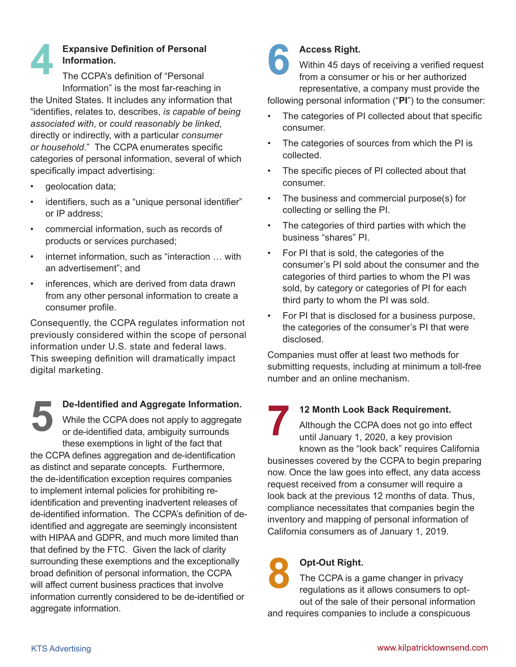#### **Expansive Definition of Personal Information.**  The CCPA's definition of "Personal **4**

Information" is the most far-reaching in the United States. It includes any information that "identifies, relates to, describes, *is capable of being associated with*, or *could reasonably be linked*, directly or indirectly, with a particular *consumer or household*." The CCPA enumerates specific categories of personal information, several of which specifically impact advertising:

- geolocation data;
- identifiers, such as a "unique personal identifier" or IP address;
- commercial information, such as records of products or services purchased;
- internet information, such as "interaction ... with an advertisement"; and
- inferences, which are derived from data drawn from any other personal information to create a consumer profile.

Consequently, the CCPA regulates information not previously considered within the scope of personal information under U.S. state and federal laws. This sweeping definition will dramatically impact digital marketing.

**De-Identified and Aggregate Information.** While the CCPA does not apply to aggregate or de-identified data, ambiguity surrounds these exemptions in light of the fact that the CCPA defines aggregation and de-identification as distinct and separate concepts. Furthermore, the de-identification exception requires companies to implement internal policies for prohibiting reidentification and preventing inadvertent releases of de-identified information. The CCPA's definition of deidentified and aggregate are seemingly inconsistent with HIPAA and GDPR, and much more limited than that defined by the FTC. Given the lack of clarity surrounding these exemptions and the exceptionally broad definition of personal information, the CCPA will affect current business practices that involve information currently considered to be de-identified or aggregate information. **5**



## **Access Right.**

Within 45 days of receiving a verified request from a consumer or his or her authorized representative, a company must provide the

following personal information ("**PI**") to the consumer:

- The categories of PI collected about that specific consumer.
- The categories of sources from which the PI is collected.
- The specific pieces of PI collected about that consumer.
- The business and commercial purpose(s) for collecting or selling the PI.
- The categories of third parties with which the business "shares" PI.
- For PI that is sold, the categories of the consumer's PI sold about the consumer and the categories of third parties to whom the PI was sold, by category or categories of PI for each third party to whom the PI was sold.
- For PI that is disclosed for a business purpose, the categories of the consumer's PI that were disclosed.

Companies must offer at least two methods for submitting requests, including at minimum a toll-free number and an online mechanism.

## **12 Month Look Back Requirement.**

Although the CCPA does not go into effect until January 1, 2020, a key provision known as the "look back" requires California businesses covered by the CCPA to begin preparing now. Once the law goes into effect, any data access request received from a consumer will require a look back at the previous 12 months of data. Thus, compliance necessitates that companies begin the inventory and mapping of personal information of California consumers as of January 1, 2019. **7**

## **Opt-Out Right. 8**

The CCPA is a game changer in privacy regulations as it allows consumers to optout of the sale of their personal information and requires companies to include a conspicuous